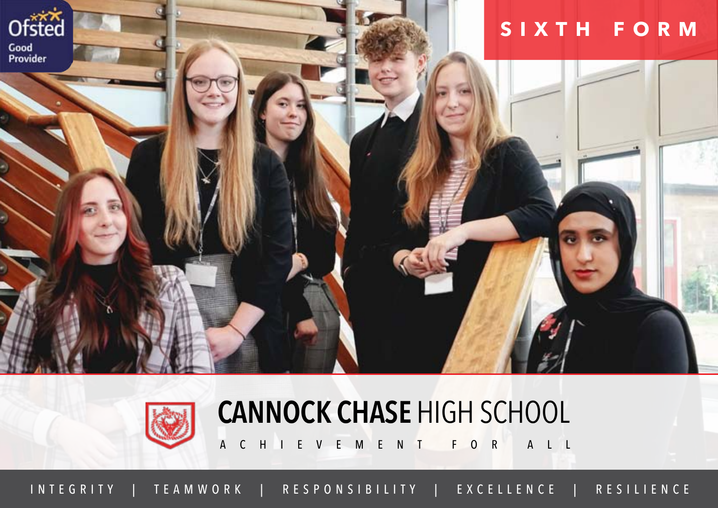



#### **Cannock Chase** High School

A C H I E V E M E N T F O R A L L

INTEGRITY | TEAMWORK | RESPONSIBILITY | EXCELLENCE | RESILIENCE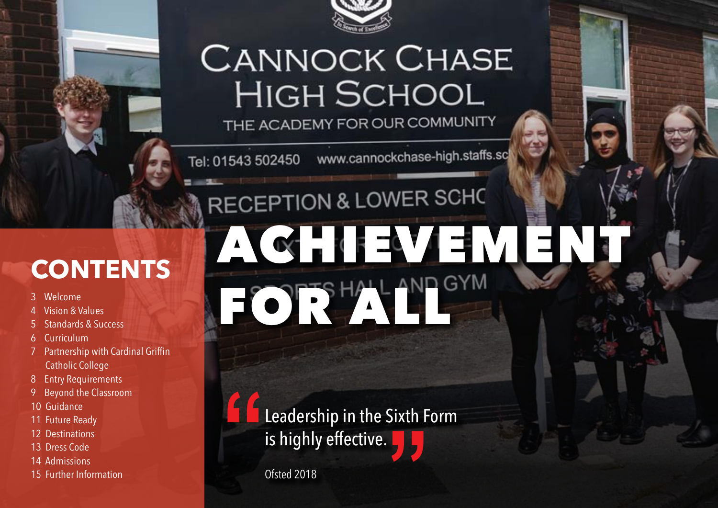

### **CANNOCK CHASE HIGH SCHOOL**

THE ACADEMY FOR OUR COMMUNITY

Tel: 01543 502450 www.cannockchase-high.staffs.sc

### RECEPTION & LOWER SCHO

#### **Contents**

- 3 Welcome
- 4 Vision & Values
- 5 Standards & Success
- 6 Curriculum
- 7 Partnership with Cardinal Griffin Catholic College
- 8 Entry Requirements
- 9 Beyond the Classroom
- 10 Guidance
- 11 Future Ready
- 12 Destinations
- 13 Dress Code
- 14 Admissions
- 15 Further Information

## Achievement For PTS HALL AND GYM

Leadership in the Sixth Form is highly effective. **"**  $\frac{1}{2}$   $\frac{1}{2}$ 

Ofsted 2018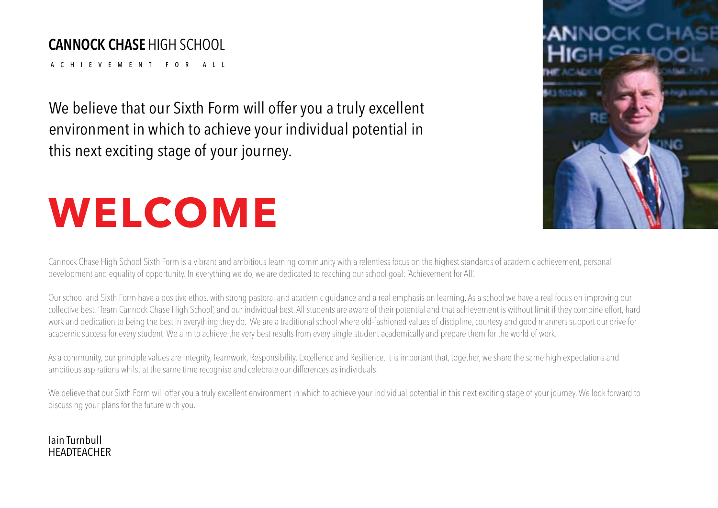#### **Cannock Chase** High School

A c h i evement for all

We believe that our Sixth Form will offer you a truly excellent environment in which to achieve your individual potential in this next exciting stage of your journey.

## **WELCOME**

Cannock Chase High School Sixth Form is a vibrant and ambitious learning community with a relentless focus on the highest standards of academic achievement, personal development and equality of opportunity. In everything we do, we are dedicated to reaching our school goal: 'Achievement for All'.

Our school and Sixth Form have a positive ethos, with strong pastoral and academic guidance and a real emphasis on learning. As a school we have a real focus on improving our collective best, 'Team Cannock Chase High School', and our individual best. All students are aware of their potential and that achievement is without limit if they combine effort, hard work and dedication to being the best in everything they do. We are a traditional school where old-fashioned values of discipline, courtesy and good manners support our drive for academic success for every student. We aim to achieve the very best results from every single student academically and prepare them for the world of work.

As a community, our principle values are Integrity, Teamwork, Responsibility, Excellence and Resilience. It is important that, together, we share the same high expectations and ambitious aspirations whilst at the same time recognise and celebrate our differences as individuals.

We believe that our Sixth Form will offer you a truly excellent environment in which to achieve your individual potential in this next exciting stage of your journey. We look forward to discussing your plans for the future with you.

#### Iain Turnbull **HEADTEACHER**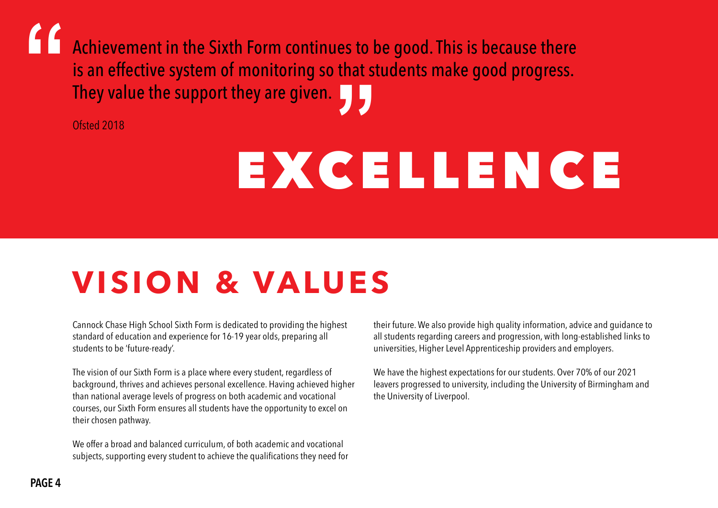Achievement in the Sixth Form continues to be good. This is because there is an effective system of monitoring so that students make good progress. They value the support they are given. **""**

Ofsted 2018

## EXCELLENCE

### **Vision & Values**

Cannock Chase High School Sixth Form is dedicated to providing the highest standard of education and experience for 16-19 year olds, preparing all students to be 'future-ready'.

The vision of our Sixth Form is a place where every student, regardless of background, thrives and achieves personal excellence. Having achieved higher than national average levels of progress on both academic and vocational courses, our Sixth Form ensures all students have the opportunity to excel on their chosen pathway.

We offer a broad and balanced curriculum, of both academic and vocational subjects, supporting every student to achieve the qualifications they need for their future. We also provide high quality information, advice and guidance to all students regarding careers and progression, with long-established links to universities, Higher Level Apprenticeship providers and employers.

We have the highest expectations for our students. Over 70% of our 2021 leavers progressed to university, including the University of Birmingham and the University of Liverpool.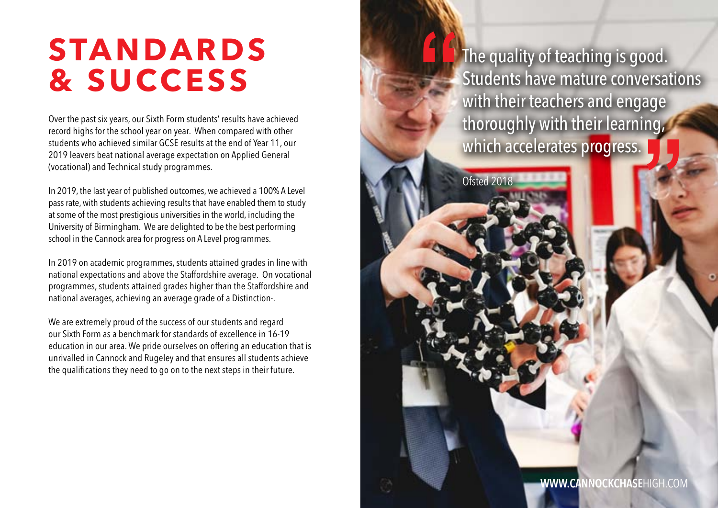#### **Standards & Success**

Over the past six years, our Sixth Form students' results have achieved record highs for the school year on year. When compared with other students who achieved similar GCSE results at the end of Year 11, our 2019 leavers beat national average expectation on Applied General (vocational) and Technical study programmes.

In 2019, the last year of published outcomes, we achieved a 100% A Level pass rate, with students achieving results that have enabled them to study at some of the most prestigious universities in the world, including the University of Birmingham. We are delighted to be the best performing school in the Cannock area for progress on A Level programmes.

In 2019 on academic programmes, students attained grades in line with national expectations and above the Staffordshire average. On vocational programmes, students attained grades higher than the Staffordshire and national averages, achieving an average grade of a Distinction-.

We are extremely proud of the success of our students and regard our Sixth Form as a benchmark for standards of excellence in 16-19 education in our area. We pride ourselves on offering an education that is unrivalled in Cannock and Rugeley and that ensures all students achieve the qualifications they need to go on to the next steps in their future.

The quality of teaching is good. Students have mature conversations with their teachers and engage thoroughly with their learning, which accelerates progress. **" "**

Ofsted 2018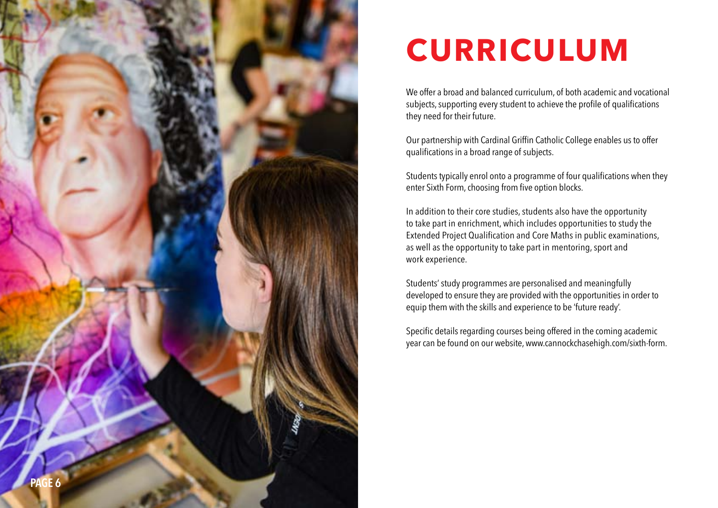

### **Curriculum**

We offer a broad and balanced curriculum, of both academic and vocational subjects, supporting every student to achieve the profile of qualifications they need for their future.

Our partnership with Cardinal Griffin Catholic College enables us to offer qualifications in a broad range of subjects.

Students typically enrol onto a programme of four qualifications when they enter Sixth Form, choosing from five option blocks.

In addition to their core studies, students also have the opportunity to take part in enrichment, which includes opportunities to study the Extended Project Qualification and Core Maths in public examinations, as well as the opportunity to take part in mentoring, sport and work experience.

Students' study programmes are personalised and meaningfully developed to ensure they are provided with the opportunities in order to equip them with the skills and experience to be 'future ready'.

Specific details regarding courses being offered in the coming academic year can be found on our website, www.cannockchasehigh.com/sixth-form.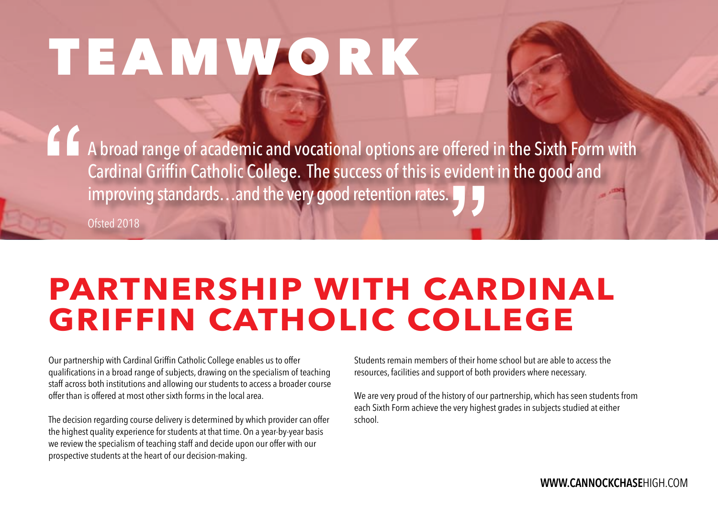## TEAMWORK

A broad range of academic and vocational options are offered in the Sixth Form with Cardinal Griffin Catholic College. The success of this is evident in the good and improving standards...and the very good retention rates. **1** A broad range of academic and vocational options are offered<br>Cardinal Griffin Catholic College. The success of this is eviden<br>improving standards...and the very good retention rates.

Ofsted 2018

#### **PARTNERSHIP WITH CARDINAL GRIFFIN CATHOLIC COLLEGE**

Our partnership with Cardinal Griffin Catholic College enables us to offer qualifications in a broad range of subjects, drawing on the specialism of teaching staff across both institutions and allowing our students to access a broader course offer than is offered at most other sixth forms in the local area.

The decision regarding course delivery is determined by which provider can offer the highest quality experience for students at that time. On a year-by-year basis we review the specialism of teaching staff and decide upon our offer with our prospective students at the heart of our decision-making.

Students remain members of their home school but are able to access the resources, facilities and support of both providers where necessary.

We are very proud of the history of our partnership, which has seen students from each Sixth Form achieve the very highest grades in subjects studied at either school.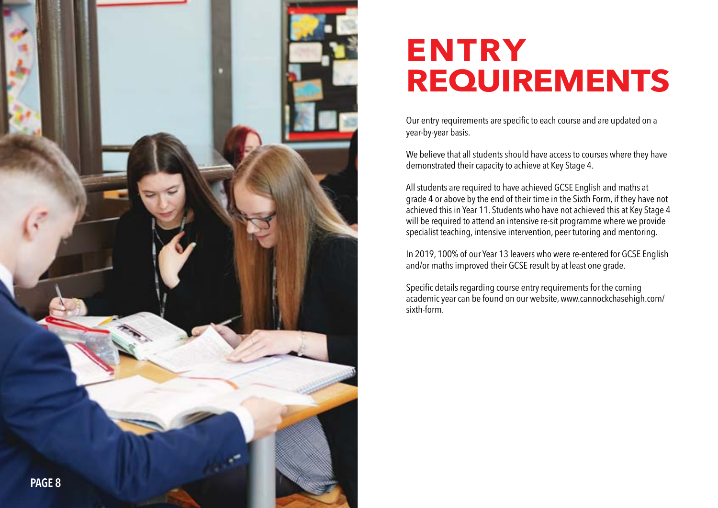

#### **ENTRY REQUIREMENTS**

Our entry requirements are specific to each course and are updated on a year-by-year basis.

We believe that all students should have access to courses where they have demonstrated their capacity to achieve at Key Stage 4.

All students are required to have achieved GCSE English and maths at grade 4 or above by the end of their time in the Sixth Form, if they have not achieved this in Year 11. Students who have not achieved this at Key Stage 4 will be required to attend an intensive re-sit programme where we provide specialist teaching, intensive intervention, peer tutoring and mentoring.

In 2019, 100% of our Year 13 leavers who were re-entered for GCSE English and/or maths improved their GCSE result by at least one grade.

Specific details regarding course entry requirements for the coming academic year can be found on our website, www.cannockchasehigh.com/ sixth-form.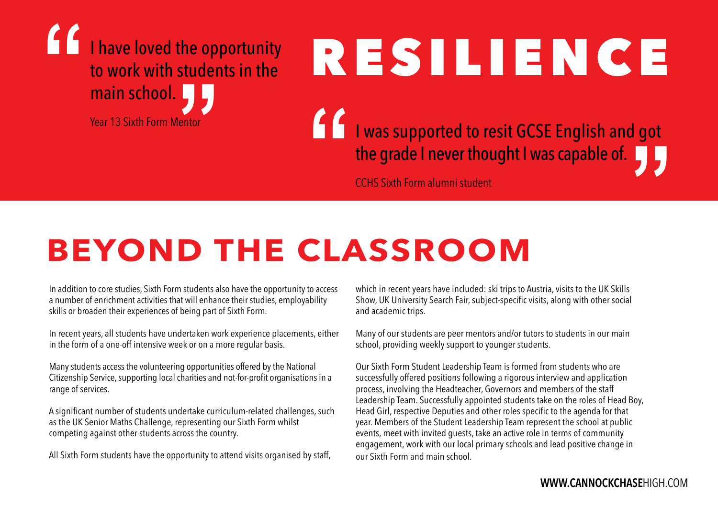

# Resilience

**1 I** was supported to resit GCSE English and got the grade I never thought I was capable of. I was supported to resit GCSE English and got the grade I never thought I was capable of.

CCHS Sixth Form alumni student

### **BEYOND THE CLASSROOM**

In addition to core studies, Sixth Form students also have the opportunity to access a number of enrichment activities that will enhance their studies, employability skills or broaden their experiences of being part of Sixth Form.

In recent years, all students have undertaken work experience placements, either in the form of a one-off intensive week or on a more regular basis.

Many students access the volunteering opportunities offered by the National Citizenship Service, supporting local charities and not-for-profit organisations in a range of services.

A significant number of students undertake curriculum-related challenges, such as the UK Senior Maths Challenge, representing our Sixth Form whilst competing against other students across the country.

All Sixth Form students have the opportunity to attend visits organised by staff,

which in recent years have included: ski trips to Austria, visits to the UK Skills Show, UK University Search Fair, subject-specific visits, along with other social and academic trips.

Many of our students are peer mentors and/or tutors to students in our main school, providing weekly support to younger students.

Our Sixth Form Student Leadership Team is formed from students who are successfully offered positions following a rigorous interview and application process, involving the Headteacher, Governors and members of the staff Leadership Team. Successfully appointed students take on the roles of Head Boy, Head Girl, respective Deputies and other roles specific to the agenda for that year. Members of the Student Leadership Team represent the school at public events, meet with invited guests, take an active role in terms of community engagement, work with our local primary schools and lead positive change in our Sixth Form and main school.

#### **www.CannockChase**High.com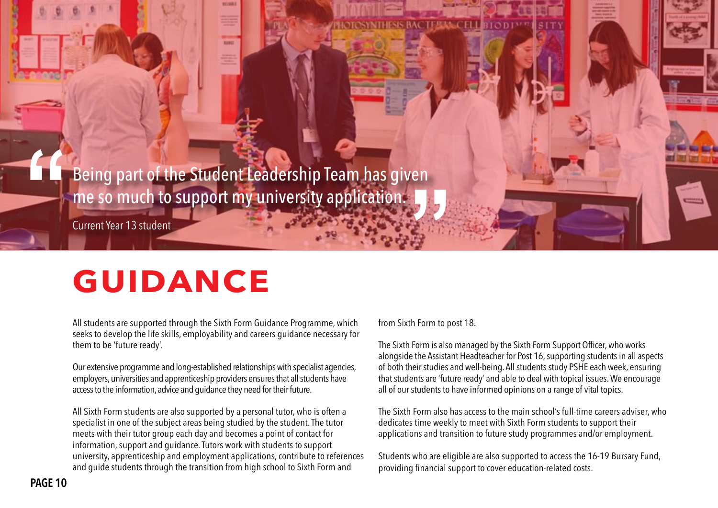Being part of the Student Leadership Team has given me so much to support my university application. **"**

Current Year 13 student

#### **GUIDANCE**

All students are supported through the Sixth Form Guidance Programme, which seeks to develop the life skills, employability and careers guidance necessary for them to be 'future ready'.

Our extensive programme and long-established relationships with specialist agencies, employers, universities and apprenticeship providers ensures that all students have access to the information, advice and guidance they need for their future.

All Sixth Form students are also supported by a personal tutor, who is often a specialist in one of the subject areas being studied by the student. The tutor meets with their tutor group each day and becomes a point of contact for information, support and guidance. Tutors work with students to support university, apprenticeship and employment applications, contribute to references and guide students through the transition from high school to Sixth Form and

from Sixth Form to post 18.

The Sixth Form is also managed by the Sixth Form Support Officer, who works alongside the Assistant Headteacher for Post 16, supporting students in all aspects of both their studies and well-being. All students study PSHE each week, ensuring that students are 'future ready' and able to deal with topical issues. We encourage all of our students to have informed opinions on a range of vital topics.

The Sixth Form also has access to the main school's full-time careers adviser, who dedicates time weekly to meet with Sixth Form students to support their applications and transition to future study programmes and/or employment.

Students who are eligible are also supported to access the 16-19 Bursary Fund, providing financial support to cover education-related costs.

**"**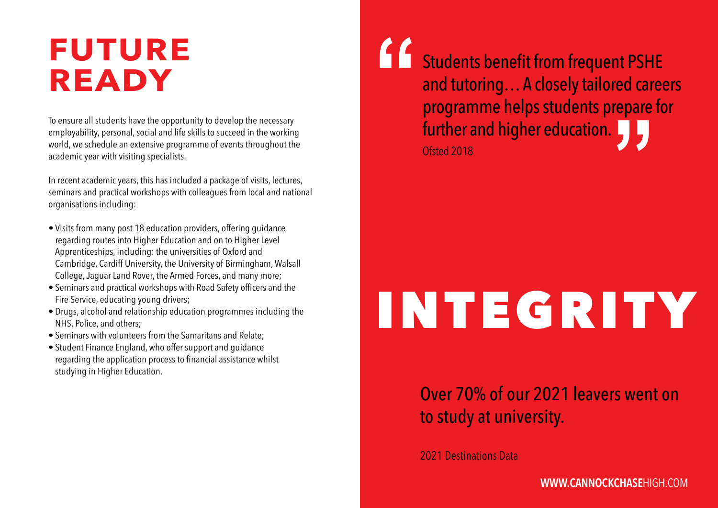#### **Future Ready**

To ensure all students have the opportunity to develop the necessary employability, personal, social and life skills to succeed in the working world, we schedule an extensive programme of events throughout the academic year with visiting specialists.

In recent academic years, this has included a package of visits, lectures, seminars and practical workshops with colleagues from local and national organisations including:

- Visits from many post 18 education providers, offering guidance regarding routes into Higher Education and on to Higher Level Apprenticeships, including: the universities of Oxford and Cambridge, Cardiff University, the University of Birmingham, Walsall College, Jaguar Land Rover, the Armed Forces, and many more;
- Seminars and practical workshops with Road Safety officers and the Fire Service, educating young drivers;
- Drugs, alcohol and relationship education programmes including the NHS, Police, and others;
- Seminars with volunteers from the Samaritans and Relate;
- Student Finance England, who offer support and guidance regarding the application process to financial assistance whilst studying in Higher Education.

Students benefit from frequent PSHE and tutoring… A closely tailored careers programme helps students prepare for further and higher education.<br>Ofted 2018 Ofsted 2018 **"**

## integrity

#### Over 70% of our 2021 leavers went on to study at university.

2021 Destinations Data

#### **www.CannockChase**High.com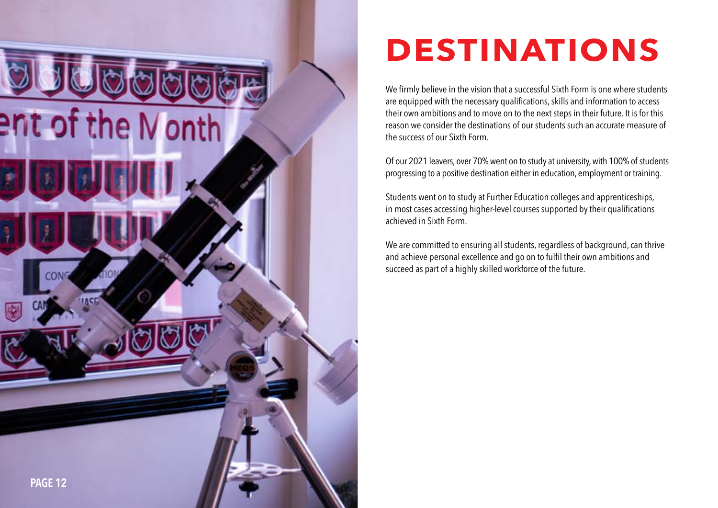

### **Destinations**

We firmly believe in the vision that a successful Sixth Form is one where students are equipped with the necessary qualifications, skills and information to access their own ambitions and to move on to the next steps in their future. It is for this reason we consider the destinations of our students such an accurate measure of the success of our Sixth Form.

Of our 2021 leavers, over 70% went on to study at university, with 100% of students progressing to a positive destination either in education, employment or training.

Students went on to study at Further Education colleges and apprenticeships, in most cases accessing higher-level courses supported by their qualifications achieved in Sixth Form.

We are committed to ensuring all students, regardless of background, can thrive and achieve personal excellence and go on to fulfil their own ambitions and succeed as part of a highly skilled workforce of the future.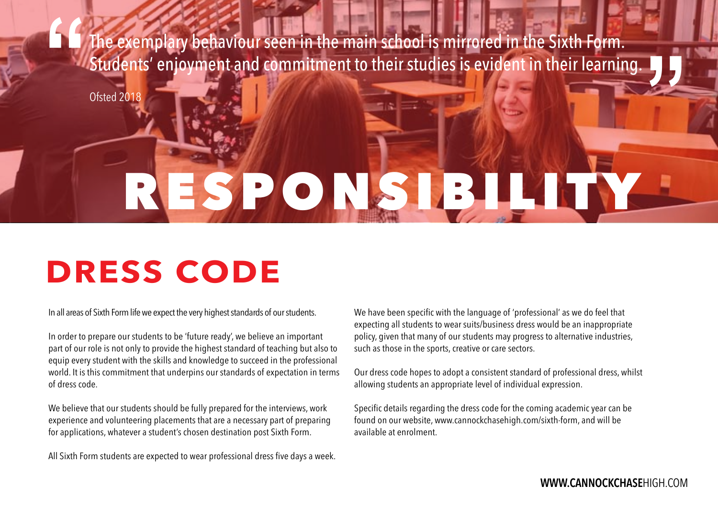The exemplary behaviour seen in the main school is mirrored in the Sixth Form. Students' enjoyment and commitment to their studies is evident in their learning. **"**

Ofsted 2018

## ESPONSIBILITY

### **Dress Code**

In all areas of Sixth Form life we expect the very highest standards of our students.

In order to prepare our students to be 'future ready', we believe an important part of our role is not only to provide the highest standard of teaching but also to equip every student with the skills and knowledge to succeed in the professional world. It is this commitment that underpins our standards of expectation in terms of dress code.

We believe that our students should be fully prepared for the interviews, work experience and volunteering placements that are a necessary part of preparing for applications, whatever a student's chosen destination post Sixth Form.

All Sixth Form students are expected to wear professional dress five days a week.

We have been specific with the language of 'professional' as we do feel that expecting all students to wear suits/business dress would be an inappropriate policy, given that many of our students may progress to alternative industries, such as those in the sports, creative or care sectors.

Our dress code hopes to adopt a consistent standard of professional dress, whilst allowing students an appropriate level of individual expression.

Specific details regarding the dress code for the coming academic year can be found on our website, www.cannockchasehigh.com/sixth-form, and will be available at enrolment.

**"**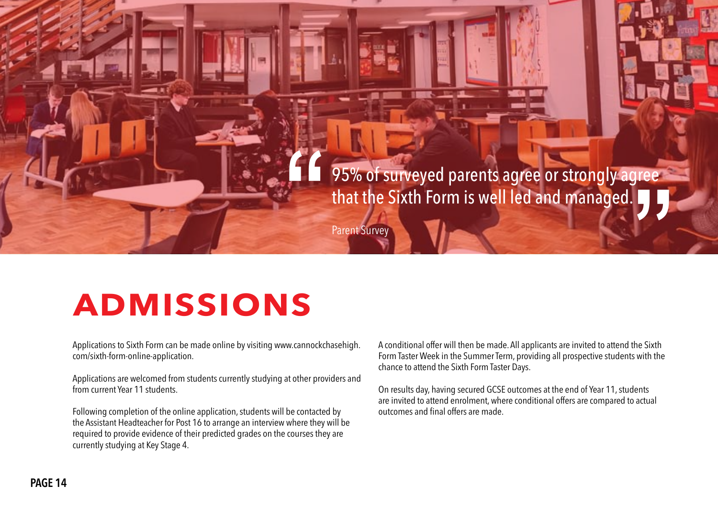

### **ADMISSIONS**

Applications to Sixth Form can be made online by visiting www.cannockchasehigh. com/sixth-form-online-application.

Applications are welcomed from students currently studying at other providers and from current Year 11 students.

Following completion of the online application, students will be contacted by the Assistant Headteacher for Post 16 to arrange an interview where they will be required to provide evidence of their predicted grades on the courses they are currently studying at Key Stage 4.

A conditional offer will then be made. All applicants are invited to attend the Sixth Form Taster Week in the Summer Term, providing all prospective students with the chance to attend the Sixth Form Taster Days.

On results day, having secured GCSE outcomes at the end of Year 11, students are invited to attend enrolment, where conditional offers are compared to actual outcomes and final offers are made.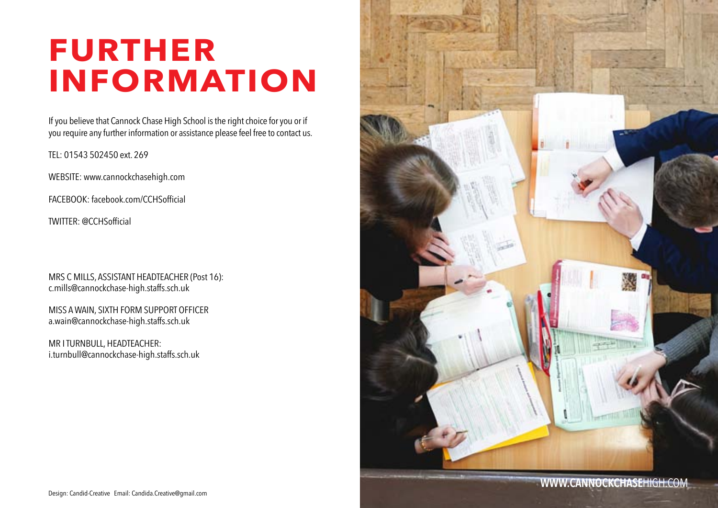#### **Further Information**

If you believe that Cannock Chase High School is the right choice for you or if you require any further information or assistance please feel free to contact us.

TEL: 01543 502450 ext. 269

WEBSITE: www.cannockchasehigh.com

FACEBOOK: facebook.com/CCHSofficial

TWITTER: @CCHSofficial

MRS C MILLS, ASSISTANT HEADTEACHER (Post 16): c.mills@cannockchase-high.staffs.sch.uk

MISS A WAIN, SIXTH FORM SUPPORT OFFICER a.wain@cannockchase-high.staffs.sch.uk

MR I TURNBULL, HEADTEACHER: i.turnbull@cannockchase-high.staffs.sch.uk